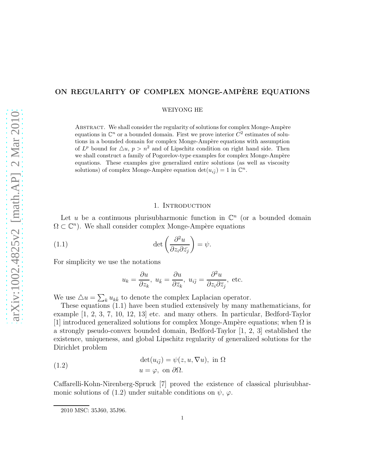# ON REGULARITY OF COMPLEX MONGE-AMPÈRE EQUATIONS

WEIYONG HE

ABSTRACT. We shall consider the regularity of solutions for complex Monge-Ampère equations in  $\mathbb{C}^n$  or a bounded domain. First we prove interior  $C^2$  estimates of solutions in a bounded domain for complex Monge-Ampère equations with assumption of  $L^p$  bound for  $\triangle u$ ,  $p > n^2$  and of Lipschitz condition on right hand side. Then we shall construct a family of Pogorelov-type examples for complex Monge-Ampère equations. These examples give generalized entire solutions (as well as viscosity solutions) of complex Monge-Ampère equation  $\det(u_{i\bar{j}}) = 1$  in  $\mathbb{C}^n$ .

### 1. INTRODUCTION

Let u be a continuous plurisubharmonic function in  $\mathbb{C}^n$  (or a bounded domain  $\Omega \subset \mathbb{C}^n$ ). We shall consider complex Monge-Ampère equations

(1.1) 
$$
\det\left(\frac{\partial^2 u}{\partial z_i \partial \bar{z}_j}\right) = \psi.
$$

For simplicity we use the notations

$$
u_k = \frac{\partial u}{\partial z_k}
$$
,  $u_{\bar{k}} = \frac{\partial u}{\partial \bar{z}_k}$ ,  $u_{i\bar{j}} = \frac{\partial^2 u}{\partial z_i \partial \bar{z}_j}$ , etc.

We use  $\Delta u = \sum_k u_{k\bar{k}}$  to denote the complex Laplacian operator.

These equations (1.1) have been studied extensively by many mathematicians, for example [1, 2, 3, 7, 10, 12, 13] etc. and many others. In particular, Bedford-Taylor [1] introduced generalized solutions for complex Monge-Ampère equations; when  $\Omega$  is a strongly pseudo-convex bounded domain, Bedford-Taylor [1, 2, 3] established the existence, uniqueness, and global Lipschitz regularity of generalized solutions for the Dirichlet problem

(1.2) 
$$
\det(u_{i\bar{j}}) = \psi(z, u, \nabla u), \text{ in } \Omega
$$

$$
u = \varphi, \text{ on } \partial\Omega.
$$

Caffarelli-Kohn-Nirenberg-Spruck [7] proved the existence of classical plurisubharmonic solutions of (1.2) under suitable conditions on  $\psi$ ,  $\varphi$ .

<sup>2010</sup> MSC: 35J60, 35J96.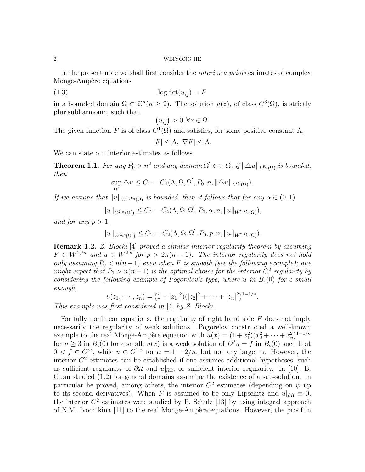#### 2 WEIYONG HE

In the present note we shall first consider the interior a priori estimates of complex Monge-Ampère equations

$$
(1.3) \t\t \tlog det(u_{i\bar{j}}) = F
$$

in a bounded domain  $\Omega \subset \mathbb{C}^n (n \geq 2)$ . The solution  $u(z)$ , of class  $C^3(\Omega)$ , is strictly plurisubharmonic, such that

$$
(u_{i\bar{j}}) > 0, \forall z \in \Omega.
$$

The given function F is of class  $C^1(\Omega)$  and satisfies, for some positive constant  $\Lambda$ ,

 $|F| < \Lambda$ ,  $|\nabla F| < \Lambda$ .

We can state our interior estimates as follows

**Theorem 1.1.** For any  $P_0 > n^2$  and any domain  $\Omega' \subset\subset \Omega$ , if  $\|\Delta u\|_{L^{p_0}(\Omega)}$  is bounded, then ′

$$
\sup_{\Omega'} \Delta u \leq C_1 = C_1(\Lambda, \Omega, \Omega', P_0, n, \|\Delta u\|_{L^{p_0}(\Omega)}).
$$

If we assume that  $||u||_{W^{2,P_0}(\Omega)}$  is bounded, then it follows that for any  $\alpha \in (0,1)$ 

$$
||u||_{C^{2,\alpha}(\Omega')}\leq C_2=C_2(\Lambda,\Omega,\Omega',P_0,\alpha,n,||u||_{W^{2,P_0}(\Omega)}),
$$

and for any  $p > 1$ ,

$$
||u||_{W^{3,p}(\Omega')}\leq C_2=C_2(\Lambda,\Omega,\Omega',P_0,p,n,||u||_{W^{2,P_0}(\Omega)}).
$$

**Remark 1.2.** Z. Blocki [4] proved a similar interior regularity theorem by assuming  $F \in W^{2,2n}$  and  $u \in W^{2,p}$  for  $p > 2n(n-1)$ . The interior regularity does not hold only assuming  $P_0 < n(n-1)$  even when F is smooth (see the following example); one might expect that  $P_0 > n(n-1)$  is the optimal choice for the interior  $C^2$  regulairty by considering the following example of Pogorelov's type, where u in  $B_{\epsilon}(0)$  for  $\epsilon$  small enough,

$$
u(z_1,\dots, z_n)=(1+|z_1|^2)(|z_2|^2+\dots+|z_n|^2)^{1-1/n}.
$$

This example was first considered in [4] by Z. Blocki.

For fully nonlinear equations, the regularity of right hand side  $F$  does not imply necessarily the regularity of weak solutions. Pogorelov constructed a well-known example to the real Monge-Ampère equation with  $u(x) = (1 + x_1^2)(x_2^2 + \cdots + x_n^2)^{1-1/n}$ Example to the real monge-Ampele equation with  $u(x) = (1 + x_1)(x_2 + \cdots + x_n)$ <br>for  $n \ge 3$  in  $B_\epsilon(0)$  for  $\epsilon$  small;  $u(x)$  is a weak solution of  $D^2u = f$  in  $B_\epsilon(0)$  such that  $0 < f \in C^{\infty}$ , while  $u \in C^{1,\alpha}$  for  $\alpha = 1-2/n$ , but not any larger  $\alpha$ . However, the interior  $C<sup>2</sup>$  estimates can be established if one assumes additional hypotheses, such as sufficient regularity of  $\partial\Omega$  and  $u|_{\partial\Omega}$ , or sufficient interior regularity. In [10], B. Guan studied (1.2) for general domains assuming the existence of a sub-solution. In particular he proved, among others, the interior  $C^2$  estimates (depending on  $\psi$  up to its second derivatives). When F is assumed to be only Lipschitz and  $u|_{\partial\Omega} \equiv 0$ , the interior  $C<sup>2</sup>$  estimates were studied by F. Schulz [13] by using integral approach of N.M. Ivochikina [11] to the real Monge-Ampère equations. However, the proof in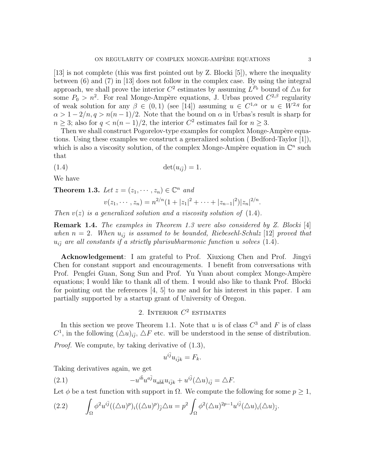[13] is not complete (this was first pointed out by Z. Blocki [5]), where the inequality between (6) and (7) in [13] does not follow in the complex case. By using the integral approach, we shall prove the interior  $C^2$  estimates by assuming  $L^{P_0}$  bound of  $\Delta u$  for some  $P_0 > n^2$ . For real Monge-Ampère equations, J. Urbas proved  $C^{2,\beta}$  regularity of weak solution for any  $\beta \in (0,1)$  (see [14]) assuming  $u \in C^{1,\alpha}$  or  $u \in W^{2,q}$  for  $\alpha > 1 - 2/n$ ,  $q > n(n-1)/2$ . Note that the bound on  $\alpha$  in Urbas's result is sharp for  $n \geq 3$ ; also for  $q < n(n-1)/2$ , the interior  $C^2$  estimates fail for  $n \geq 3$ .

Then we shall construct Pogorelov-type examples for complex Monge-Ampère equations. Using these examples we construct a generalized solution ( Bedford-Taylor [1]), which is also a viscosity solution, of the complex Monge-Ampère equation in  $\mathbb{C}^n$  such that

$$
(1.4) \qquad \qquad \det(u_{i\bar{j}}) = 1.
$$

We have

**Theorem 1.3.** Let  $z = (z_1, \dots, z_n) \in \mathbb{C}^n$  and

$$
v(z_1, \dots, z_n) = n^{2/n} (1 + |z_1|^2 + \dots + |z_{n-1}|^2) |z_n|^{2/n}
$$

Then  $v(z)$  is a generalized solution and a viscosity solution of (1.4).

**Remark 1.4.** The examples in Theorem 1.3 were also considered by Z. Blocki [4] when  $n = 2$ . When  $u_{i\bar{j}}$  is assumed to be bounded, Riebesehl-Schulz [12] proved that  $u_{i\bar{j}}$  are all constants if a strictly plurisubharmonic function u solves (1.4).

Acknowledgement: I am grateful to Prof. Xiuxiong Chen and Prof. Jingyi Chen for constant support and encouragements. I benefit from conversations with Prof. Pengfei Guan, Song Sun and Prof. Yu Yuan about complex Monge-Ampère equations; I would like to thank all of them. I would also like to thank Prof. Blocki for pointing out the references [4, 5] to me and for his interest in this paper. I am partially supported by a startup grant of University of Oregon.

## 2. INTERIOR  $C^2$  estimates

In this section we prove Theorem 1.1. Note that u is of class  $C^3$  and F is of class  $C^1$ , in the following  $(\triangle u)_{i\bar{j}}, \triangle F$  etc. will be understood in the sense of distribution.

Proof. We compute, by taking derivative of (1.3),

$$
u^{i\bar{j}}u_{i\bar{j}k} = F_k.
$$

Taking derivatives again, we get

(2.1) 
$$
-u^{i\bar{b}}u^{a\bar{j}}u_{a\bar{b}\bar{k}}u_{i\bar{j}k} + u^{i\bar{j}}(\triangle u)_{i\bar{j}} = \triangle F.
$$

Let  $\phi$  be a test function with support in  $\Omega$ . We compute the following for some  $p \geq 1$ ,

(2.2) 
$$
\int_{\Omega} \phi^2 u^{i\bar{j}} ((\triangle u)^p)_i ((\triangle u)^p)_{\bar{j}} \triangle u = p^2 \int_{\Omega} \phi^2 (\triangle u)^{2p-1} u^{i\bar{j}} (\triangle u)_i (\triangle u)_{\bar{j}}.
$$

.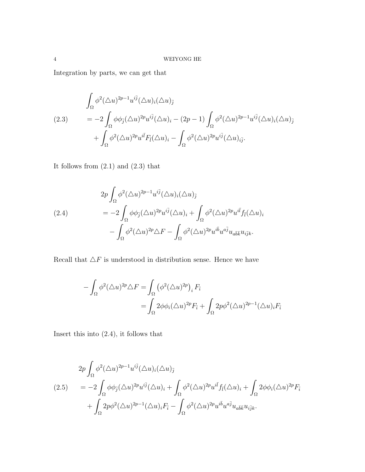Integration by parts, we can get that

$$
\int_{\Omega} \phi^2 (\Delta u)^{2p-1} u^{i\bar{j}} (\Delta u)_i (\Delta u)_{\bar{j}} \n= -2 \int_{\Omega} \phi \phi_{\bar{j}} (\Delta u)^{2p} u^{i\bar{j}} (\Delta u)_i - (2p - 1) \int_{\Omega} \phi^2 (\Delta u)^{2p-1} u^{i\bar{j}} (\Delta u)_i (\Delta u)_{\bar{j}} \n+ \int_{\Omega} \phi^2 (\Delta u)^{2p} u^{i\bar{l}} F_{\bar{l}} (\Delta u)_i - \int_{\Omega} \phi^2 (\Delta u)^{2p} u^{i\bar{j}} (\Delta u)_{i\bar{j}}.
$$

It follows from  $(2.1)$  and  $(2.3)$  that

(2.4)  
\n
$$
2p \int_{\Omega} \phi^2 (\Delta u)^{2p-1} u^{i\bar{j}} (\Delta u)_i (\Delta u)_{\bar{j}} \\
= -2 \int_{\Omega} \phi \phi_{\bar{j}} (\Delta u)^{2p} u^{i\bar{j}} (\Delta u)_i + \int_{\Omega} \phi^2 (\Delta u)^{2p} u^{i\bar{l}} f_{\bar{l}} (\Delta u)_i \\
- \int_{\Omega} \phi^2 (\Delta u)^{2p} \Delta F - \int_{\Omega} \phi^2 (\Delta u)^{2p} u^{i\bar{b}} u^{a\bar{j}} u_{a\bar{b}\bar{k}} u_{i\bar{j}k}.
$$

Recall that  $\Delta F$  is understood in distribution sense. Hence we have

$$
- \int_{\Omega} \phi^2 (\Delta u)^{2p} \Delta F = \int_{\Omega} (\phi^2 (\Delta u)^{2p})_i F_{\bar{i}} = \int_{\Omega} 2\phi \phi_i (\Delta u)^{2p} F_{\bar{i}} + \int_{\Omega} 2p\phi^2 (\Delta u)^{2p-1} (\Delta u)_i F_{\bar{i}}
$$

Insert this into (2.4), it follows that

$$
(2.5) \qquad 2p \int_{\Omega} \phi^2 (\Delta u)^{2p-1} u^{i\bar{j}} (\Delta u)_i (\Delta u)_{\bar{j}} \n= -2 \int_{\Omega} \phi \phi_{\bar{j}} (\Delta u)^{2p} u^{i\bar{j}} (\Delta u)_i + \int_{\Omega} \phi^2 (\Delta u)^{2p} u^{i\bar{l}} f_{\bar{l}} (\Delta u)_i + \int_{\Omega} 2\phi \phi_i (\Delta u)^{2p} F_{\bar{i}} \n+ \int_{\Omega} 2p \phi^2 (\Delta u)^{2p-1} (\Delta u)_i F_{\bar{i}} - \int_{\Omega} \phi^2 (\Delta u)^{2p} u^{i\bar{b}} u^{a\bar{j}} u_{a\bar{b}\bar{k}} u_{i\bar{j}k}.
$$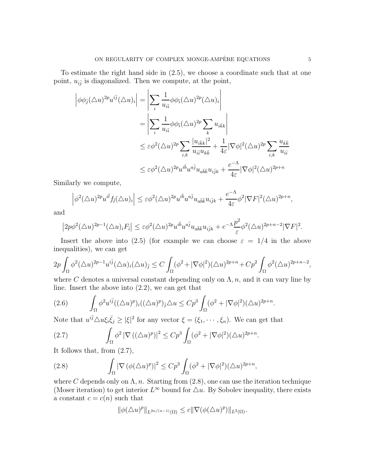To estimate the right hand side in (2.5), we choose a coordinate such that at one point,  $u_{i\bar{j}}$  is diagonalized. Then we compute, at the point,

$$
\begin{split}\n\left|\phi\phi_{\bar{j}}(\Delta u)^{2p}u^{i\bar{j}}(\Delta u)_{i}\right| &= \left|\sum_{i}\frac{1}{u_{i\bar{i}}}\phi\phi_{\bar{i}}(\Delta u)^{2p}(\Delta u)_{i}\right| \\
&= \left|\sum_{i}\frac{1}{u_{i\bar{i}}}\phi\phi_{\bar{i}}(\Delta u)^{2p}\sum_{k}u_{i\bar{k}k}\right| \\
&\leq \varepsilon\phi^{2}(\Delta u)^{2p}\sum_{i,k}\frac{|u_{i\bar{k}k}|^{2}}{u_{i\bar{i}}u_{k\bar{k}}} + \frac{1}{4\varepsilon}|\nabla\phi|^{2}(\Delta u)^{2p}\sum_{i,k}\frac{u_{k\bar{k}}}{u_{i\bar{i}}}\n\end{split}
$$
\n
$$
\leq \varepsilon\phi^{2}(\Delta u)^{2p}u^{i\bar{b}}u^{a\bar{j}}u_{a\bar{b}\bar{k}}u_{i\bar{j}k} + \frac{e^{-\Lambda}}{4\varepsilon}|\nabla\phi|^{2}(\Delta u)^{2p+n}
$$

Similarly we compute,

$$
\left|\phi^2(\triangle u)^{2p}u^{i\bar{l}}f_{\bar{l}}(\triangle u)_i\right|\leq \varepsilon\phi^2(\triangle u)^{2p}u^{i\bar{b}}u^{a\bar{j}}u_{a\bar{b}\bar{k}}u_{i\bar{j}k}+\frac{e^{-\Lambda}}{4\varepsilon}\phi^2|\nabla F|^2(\triangle u)^{2p+n},
$$

and

$$
\left|2p\phi^2(\triangle u)^{2p-1}(\triangle u)_iF_{\bar{i}}\right|\leq \varepsilon\phi^2(\triangle u)^{2p}u^{i\bar{b}}u^{a\bar{j}}u_{a\bar{b}\bar{k}}u_{i\bar{j}k}+e^{-\Lambda}\frac{p^2}{\varepsilon}\phi^2(\triangle u)^{2p+n-2}|\nabla F|^2.
$$

Insert the above into (2.5) (for example we can choose  $\varepsilon = 1/4$  in the above inequalities), we can get

$$
2p\int_{\Omega}\phi^2(\Delta u)^{2p-1}u^{i\bar{j}}(\Delta u)_i(\Delta u)_{\bar{j}}\leq C\int_{\Omega}(\phi^2+|\nabla\phi|^2)(\Delta u)^{2p+n}+Cp^2\int_{\Omega}\phi^2(\Delta u)^{2p+n-2},
$$

where C denotes a universal constant depending only on  $\Lambda$ , n, and it can vary line by line. Insert the above into (2.2), we can get that

$$
(2.6)\qquad \int_{\Omega} \phi^2 u^{i\bar{j}} ((\triangle u)^p)_i ((\triangle u)^p)_{\bar{j}} \triangle u \leq Cp^3 \int_{\Omega} (\phi^2 + |\nabla \phi|^2)(\triangle u)^{2p+n}.
$$

Note that  $u^{i\bar{j}}\Delta u\xi_i\bar{\xi}_j \geq |\xi|^2$  for any vector  $\xi = (\xi_1, \dots, \xi_n)$ . We can get that

(2.7) 
$$
\int_{\Omega} \phi^2 |\nabla ((\Delta u)^p)|^2 \leq C p^3 \int_{\Omega} (\phi^2 + |\nabla \phi|^2)(\Delta u)^{2p+n}.
$$

It follows that, from (2.7),

(2.8) 
$$
\int_{\Omega} |\nabla (\phi(\Delta u)^p)|^2 \leq C p^3 \int_{\Omega} (\phi^2 + |\nabla \phi|^2)(\Delta u)^{2p+n},
$$

where C depends only on  $\Lambda$ , n. Starting from (2.8), one can use the iteration technique (Moser iteration) to get interior  $L^{\infty}$  bound for  $\Delta u$ . By Sobolev inequality, there exists a constant  $c = c(n)$  such that

$$
\|\phi(\triangle u)^p\|_{L^{2n/(n-1)}(\Omega)} \leq c \|\nabla(\phi(\triangle u)^p)\|_{L^2(\Omega)}.
$$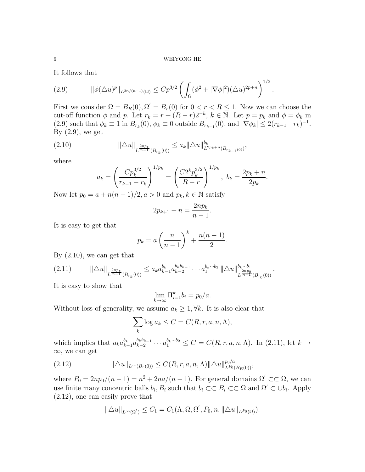.

It follows that

$$
(2.9) \qquad \|\phi(\Delta u)^p\|_{L^{2n/(n-1)}(\Omega)} \le C p^{3/2} \left(\int_{\Omega} (\phi^2 + |\nabla \phi|^2)(\Delta u)^{2p+n}\right)^{1/2}
$$

First we consider  $\Omega = B_R(0), \Omega' = B_r(0)$  for  $0 < r < R \leq 1$ . Now we can choose the cut-off function  $\phi$  and p. Let  $r_k = r + (R - r)2^{-k}$ ,  $k \in \mathbb{N}$ . Let  $p = p_k$  and  $\phi = \phi_k$  in  $(2.9)$  such that  $\phi_k \equiv 1$  in  $B_{r_k}(0)$ ,  $\phi_k \equiv 0$  outside  $B_{r_{k-1}}(0)$ , and  $|\nabla \phi_k| \leq 2(r_{k-1}-r_k)^{-1}$ . By  $(2.9)$ , we get

$$
(2.10) \t\t ||\triangle u||_{L^{\frac{2np_k}{n-1}}(B_{r_k}(0))} \le a_k ||\triangle u||_{L^{2p_k+n}(B_{r_{k-1}(0)})}^{b_k},
$$

where

$$
a_k = \left(\frac{Cp_k^{3/2}}{r_{k-1} - r_k}\right)^{1/p_k} = \left(\frac{C2^k p_k^{3/2}}{R-r}\right)^{1/p_k}, \ b_k = \frac{2p_k + n}{2p_k}.
$$

Now let  $p_0 = a + n(n-1)/2$ ,  $a > 0$  and  $p_k, k \in \mathbb{N}$  satisfy

$$
2p_{k+1} + n = \frac{2np_k}{n-1}.
$$

It is easy to get that

$$
p_k = a\left(\frac{n}{n-1}\right)^k + \frac{n(n-1)}{2}.
$$

By  $(2.10)$ , we can get that

$$
(2.11) \qquad \|\triangle u\|_{L^{\frac{2np_k}{n-1}}(B_{r_k}(0))} \leq a_k a_{k-1}^{b_k} a_{k-2}^{b_k b_{k-1}} \cdots a_1^{b_k \cdots b_2} \|\triangle u\|_{L^{\frac{2np_0}{n-1}}(B_{r_0}(0))}^{b_k \cdots b_1}.
$$

It is easy to show that

$$
\lim_{k \to \infty} \prod_{i=1}^k b_i = p_0/a.
$$

Without loss of generality, we assume  $a_k \geq 1, \forall k$ . It is also clear that

$$
\sum_{k} \log a_k \le C = C(R, r, a, n, \Lambda),
$$

which implies that  $a_k a_{k-1}^{b_k} a_{k-2}^{b_k b_{k-1}} \cdots a_1^{b_k \cdots b_2} \leq C = C(R, r, a, n, \Lambda)$ . In (2.11), let  $k \to$ ∞, we can get

$$
(2.12) \t\t\t\t\t\|\triangle u\|_{L^{\infty}(B_r(0))} \leq C(R, r, a, n, \Lambda) \|\triangle u\|_{L^{p_0}(B_R(0))}^{p_0/a},
$$

where  $P_0 = 2np_0/(n-1) = n^2 + 2na/(n-1)$ . For general domains  $\Omega' \subset\subset \Omega$ , we can use finite many concentric balls  $b_i, B_i$  such that  $b_i \subset\subset B_i \subset\subset \Omega$  and  $\overline{\Omega'} \subset \cup b_i$ . Apply (2.12), one can easily prove that

$$
\|\triangle u\|_{L^{\infty}(\Omega')}\leq C_1=C_1(\Lambda,\Omega,\Omega',P_0,n,\|\triangle u\|_{L^{p_0}(\Omega)}).
$$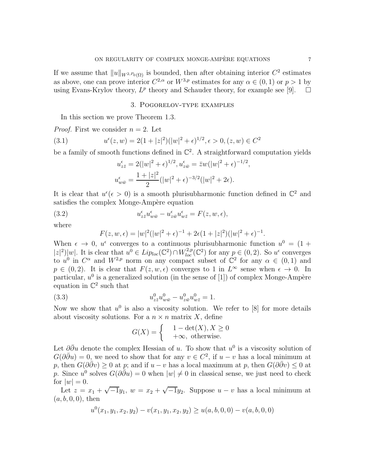If we assume that  $||u||_{W^{2,P_0}(\Omega)}$  is bounded, then after obtaining interior  $C^2$  estimates as above, one can prove interior  $C^{2,\alpha}$  or  $W^{3,p}$  estimates for any  $\alpha \in (0,1)$  or  $p > 1$  by using Evans-Krylov theory,  $L^p$  theory and Schauder theory, for example see [9].  $\Box$ 

### 3. Pogorelov-type examples

In this section we prove Theorem 1.3.

*Proof.* First we consider  $n = 2$ . Let

(3.1) 
$$
u^{\epsilon}(z,w) = 2(1+|z|^2)(|w|^2+\epsilon)^{1/2}, \epsilon > 0, (z,w) \in C^2
$$

be a family of smooth functions defined in  $\mathbb{C}^2$ . A straightforward computation yields

$$
u_{z\bar{z}}^{\epsilon} = 2(|w|^2 + \epsilon)^{1/2}, u_{z\bar{w}}^{\epsilon} = \bar{z}w(|w|^2 + \epsilon)^{-1/2},
$$
  

$$
u_{w\bar{w}}^{\epsilon} = \frac{1 + |z|^2}{2}(|w|^2 + \epsilon)^{-3/2}(|w|^2 + 2\epsilon).
$$

It is clear that  $u^{\epsilon}(\epsilon > 0)$  is a smooth plurisubharmonic function defined in  $\mathbb{C}^2$  and satisfies the complex Monge-Ampère equation

(3.2) 
$$
u_{z\bar{z}}^{\epsilon}u_{w\bar{w}}^{\epsilon}-u_{z\bar{w}}^{\epsilon}u_{w\bar{z}}^{\epsilon}=F(z,w,\epsilon),
$$

where

$$
F(z, w, \epsilon) = |w|^2 (|w|^2 + \epsilon)^{-1} + 2\epsilon (1 + |z|^2)(|w|^2 + \epsilon)^{-1}.
$$

When  $\epsilon \to 0$ ,  $u^{\epsilon}$  converges to a continuous plurisubharmonic function  $u^{0} = (1 +$  $|z|^2$ |w|. It is clear that  $u^0 \in Lip_{loc}(\mathbb{C}^2) \cap W_{loc}^{2,p}(\mathbb{C}^2)$  for any  $p \in (0, 2)$ . So  $u^{\epsilon}$  converges to  $u^0$  in  $C^{\alpha}$  and  $W^{2,p}$  norm on any compact subset of  $\mathbb{C}^2$  for any  $\alpha \in (0,1)$  and  $p \in (0, 2)$ . It is clear that  $F(z, w, \epsilon)$  converges to 1 in  $L^{\infty}$  sense when  $\epsilon \to 0$ . In particular,  $u^0$  is a generalized solution (in the sense of [1]) of complex Monge-Ampère equation in  $\mathbb{C}^2$  such that

(3.3) 
$$
u_{z\bar{z}}^0 u_{w\bar{w}}^0 - u_{z\bar{w}}^0 u_{w\bar{z}}^0 = 1.
$$

Now we show that  $u^0$  is also a viscosity solution. We refer to [8] for more details about viscosity solutions. For a  $n \times n$  matrix X, define

$$
G(X) = \begin{cases} 1 - \det(X), X \ge 0 \\ +\infty, \text{ otherwise.} \end{cases}
$$

Let  $\partial \bar{\partial} u$  denote the complex Hessian of u. To show that  $u^0$  is a viscosity solution of  $G(\partial \bar{\partial}u) = 0$ , we need to show that for any  $v \in C^2$ , if  $u - v$  has a local minimum at p, then  $G(\partial \overline{\partial}v) \ge 0$  at p; and if  $u - v$  has a local maximum at p, then  $G(\partial \overline{\partial}v) \le 0$  at p. Since  $u^0$  solves  $G(\partial \bar{\partial}u) = 0$  when  $|w| \neq 0$  in classical sense, we just need to check for  $|w|=0$ .

Let  $z = x_1 + \sqrt{-1}y_1$ ,  $w = x_2 + \sqrt{-1}y_2$ . Suppose  $u - v$  has a local minimum at  $(a, b, 0, 0)$ , then

$$
u^{0}(x_{1}, y_{1}, x_{2}, y_{2}) - v(x_{1}, y_{1}, x_{2}, y_{2}) \ge u(a, b, 0, 0) - v(a, b, 0, 0)
$$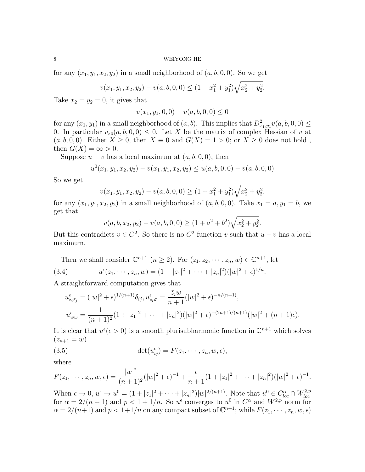### 8 WEIYONG HE

for any  $(x_1, y_1, x_2, y_2)$  in a small neighborhood of  $(a, b, 0, 0)$ . So we get

$$
v(x_1, y_1, x_2, y_2) - v(a, b, 0, 0) \le (1 + x_1^2 + y_1^2) \sqrt{x_2^2 + y_2^2}.
$$

Take  $x_2 = y_2 = 0$ , it gives that

$$
v(x_1, y_1, 0, 0) - v(a, b, 0, 0) \le 0
$$

for any  $(x_1, y_1)$  in a small neighborhood of  $(a, b)$ . This implies that  $D^2_{x_1, y_1} v(a, b, 0, 0) \leq$ 0. In particular  $v_{z\bar{z}}(a, b, 0, 0) \leq 0$ . Let X be the matrix of complex Hessian of v at  $(a, b, 0, 0)$ . Either  $X \geq 0$ , then  $X \equiv 0$  and  $G(X) = 1 > 0$ ; or  $X \geq 0$  does not hold, then  $G(X) = \infty > 0$ .

Suppose  $u - v$  has a local maximum at  $(a, b, 0, 0)$ , then

$$
u^{0}(x_{1}, y_{1}, x_{2}, y_{2}) - v(x_{1}, y_{1}, x_{2}, y_{2}) \leq u(a, b, 0, 0) - v(a, b, 0, 0)
$$

So we get

$$
v(x_1, y_1, x_2, y_2) - v(a, b, 0, 0) \ge (1 + x_1^2 + y_1^2) \sqrt{x_2^2 + y_2^2}.
$$

for any  $(x_1, y_1, x_2, y_2)$  in a small neighborhood of  $(a, b, 0, 0)$ . Take  $x_1 = a, y_1 = b$ , we get that

$$
v(a, b, x_2, y_2) - v(a, b, 0, 0) \ge (1 + a^2 + b^2) \sqrt{x_2^2 + y_2^2}.
$$

But this contradicts  $v \in C^2$ . So there is no  $C^2$  function v such that  $u - v$  has a local maximum.

Then we shall consider 
$$
\mathbb{C}^{n+1}
$$
  $(n \ge 2)$ . For  $(z_1, z_2, \dots, z_n, w) \in \mathbb{C}^{n+1}$ , let  
(3.4)  $u^{\epsilon}(z_1, \dots, z_n, w) = (1 + |z_1|^2 + \dots + |z_n|^2)(|w|^2 + \epsilon)^{1/n}$ .

A straightforward computation gives that

$$
u_{z_i\bar{z}_j}^{\epsilon} = (|w|^2 + \epsilon)^{1/(n+1)} \delta_{ij}, u_{z_i\bar{w}}^{\epsilon} = \frac{\bar{z}_i w}{n+1} (|w|^2 + \epsilon)^{-n/(n+1)},
$$
  

$$
u_{w\bar{w}}^{\epsilon} = \frac{1}{(n+1)^2} (1 + |z_1|^2 + \dots + |z_n|^2) (|w|^2 + \epsilon)^{-(2n+1)/(n+1)} (|w|^2 + (n+1)\epsilon).
$$

It is clear that  $u^{\epsilon}(\epsilon > 0)$  is a smooth plurisubharmonic function in  $\mathbb{C}^{n+1}$  which solves  $(z_{n+1} = w)$ 

(3.5) 
$$
\det(u_{i\overline{j}}^{\epsilon}) = F(z_1, \cdots, z_n, w, \epsilon),
$$

where

$$
F(z_1,\dots,z_n,w,\epsilon) = \frac{|w|^2}{(n+1)^2} (|w|^2 + \epsilon)^{-1} + \frac{\epsilon}{n+1} (1+|z_1|^2 + \dots + |z_n|^2) (|w|^2 + \epsilon)^{-1}.
$$

When  $\epsilon \to 0$ ,  $u^{\epsilon} \to u^0 = (1 + |z_1|^2 + \cdots + |z_n|^2)|w|^{2/(n+1)}$ . Note that  $u^0 \in C^{\alpha}_{loc} \cap W_{loc}^{2,p}$ When  $e \to 0$ ,  $u \to u = (1 + |z_1| + \cdots + |z_n|) |u_1| + \cdots$ . Note that  $u \in C_{loc} + W_{loc}$ <br>for  $\alpha = 2/(n+1)$  and  $p < 1 + 1/n$ . So  $u^{\epsilon}$  converges to  $u^0$  in  $C^{\alpha}$  and  $W^{2,p}$  norm for  $\alpha = 2/(n+1)$  and  $p < 1+1/n$  on any compact subset of  $\mathbb{C}^{n+1}$ ; while  $F(z_1, \dots, z_n, w, \epsilon)$